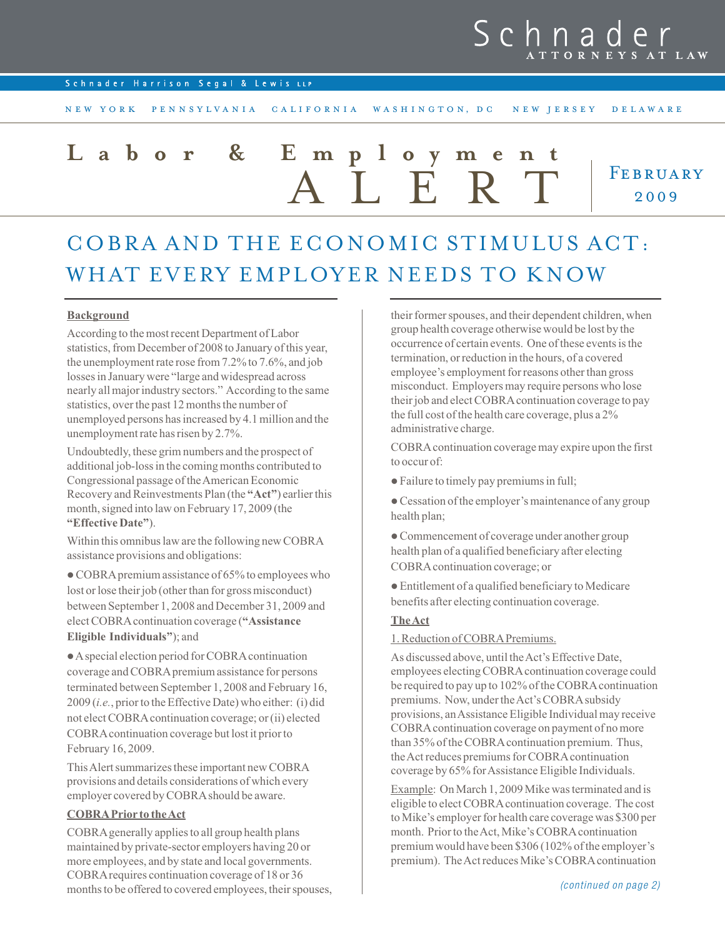# h n a  $S_{\mathcal{C}}$

Schnader Harrison Segal & Lewis LLP

N E W Y ORK PEN N SYLVANIA CALIFORNIA WAS HINGTON, DC NEW JERSEY DELAWARE

# FEBRUARY 2009 Employme<br>AIFR **Labor & Employment**

# COBRA AND THE ECONOMIC STIMULUS ACT: WHAT EVERY EMPLOYER NEEDS TO KNOW

# Background

According to the most recent Department of Labor statistics, from December of 2008 to January of this year, the unemployment rate rose from 7.2% to 7.6%, and job losses in January were "large and widespread across nearly all major industry sectors." According to the same statistics, over the past 12 months the number of unemployed persons has increased by 4.1 million and the unemployment rate has risen by 2.7%.

Undoubtedly, these grim numbers and the prospect of additional job-loss in the coming months contributed to Congressional passage of the American Economic Recovery and Reinvestments Plan (the "Act") earlier this month, signed into law on February 17, 2009 (the "Effective Date").

Within this omnibus law are the following new COBRA assistance provisions and obligations:

 $\bullet$  COBRA premium assistance of 65% to employees who lost or lose their job (other than for gross misconduct) between September 1, 2008 and December 31, 2009 and elect COBRAcontinuation coverage ("Assistance Eligible Individuals"); and

lAspecial election period for COBRAcontinuation coverage and COBRApremium assistance for persons terminated between September 1, 2008 and February 16, 2009 (i.e., prior to the Effective Date) who either: (i) did not elect COBRAcontinuation coverage; or (ii) elected COBRAcontinuation coverage but lost it prior to February 16, 2009.

This Alert summarizes these important new COBRA provisions and details considerations of which every employer covered by COBRAshould be aware.

### COBRAPrior to the Act

COBRAgenerally applies to all group health plans maintained by private-sector employers having 20 or more employees, and by state and local governments. COBRArequires continuation coverage of 18 or 36 months to be offered to covered employees, their spouses,

their former spouses, and their dependent children, when group health coverage otherwise would be lost by the occurrence of certain events. One of these events is the termination, or reduction in the hours, of a covered employee's employment for reasons other than gross misconduct. Employers may require persons who lose their job and elect COBRAcontinuation coverage to pay the full cost of the health care coverage, plus a 2% administrative charge.

COBRAcontinuation coverage may expire upon the first to occur of:

- l Failure to timely pay premiums in full;
- Cessation of the employer's maintenance of any group health plan;

l Commencement of coverage under another group health plan of a qualified beneficiary after electing COBRAcontinuation coverage; or

 $\bullet$  Entitlement of a qualified beneficiary to Medicare benefits after electing continuation coverage.

# **The Act**

1. Reduction of COBRAPremiums.

As discussed above, until the Act's Effective Date, employees electing COBRAcontinuation coverage could be required to pay up to 102% of the COBRAcontinuation premiums. Now, under the Act's COBRAsubsidy provisions, an Assistance Eligible Individual may receive COBRAcontinuation coverage on payment of no more than 35% of the COBRAcontinuation premium. Thus, the Act reduces premiums for COBRAcontinuation coverage by 65% for Assistance Eligible Individuals.

Example: On March 1, 2009 Mike was terminated and is eligible to elect COBRAcontinuation coverage. The cost to Mike's employer for health care coverage was \$300 per month. Prior to the Act, Mike's COBRAcontinuation premium would have been \$306 (102% of the employer's premium). The Act reduces Mike's COBRAcontinuation